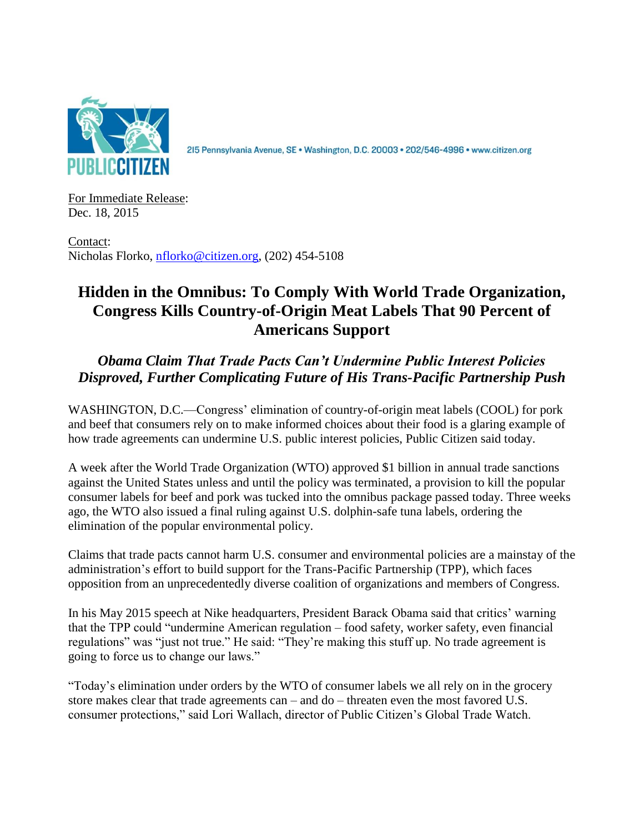

215 Pennsylvania Avenue, SE · Washington, D.C. 20003 · 202/546-4996 · www.citizen.org

For Immediate Release: Dec. 18, 2015

Contact: Nicholas Florko, [nflorko@citizen.org,](mailto:nflorko@citizen.org) (202) 454-5108

## **Hidden in the Omnibus: To Comply With World Trade Organization, Congress Kills Country-of-Origin Meat Labels That 90 Percent of Americans Support**

*Obama Claim That Trade Pacts Can't Undermine Public Interest Policies Disproved, Further Complicating Future of His Trans-Pacific Partnership Push*

WASHINGTON, D.C.—Congress' elimination of country-of-origin meat labels (COOL) for pork and beef that consumers rely on to make informed choices about their food is a glaring example of how trade agreements can undermine U.S. public interest policies, Public Citizen said today.

A week after the World Trade Organization (WTO) approved \$1 billion in annual trade sanctions against the United States unless and until the policy was terminated, a provision to kill the popular consumer labels for beef and pork was tucked into the omnibus package passed today. Three weeks ago, the WTO also issued a final ruling against U.S. dolphin-safe tuna labels, ordering the elimination of the popular environmental policy.

Claims that trade pacts cannot harm U.S. consumer and environmental policies are a mainstay of the administration's effort to build support for the Trans-Pacific Partnership (TPP), which faces opposition from an unprecedentedly diverse coalition of organizations and members of Congress.

In his May 2015 speech at Nike headquarters, President Barack Obama said that critics' warning that the TPP could "undermine American regulation – food safety, worker safety, even financial regulations" was "just not true." He said: "They're making this stuff up. No trade agreement is going to force us to change our laws."

"Today's elimination under orders by the WTO of consumer labels we all rely on in the grocery store makes clear that trade agreements can – and do – threaten even the most favored U.S. consumer protections," said Lori Wallach, director of Public Citizen's Global Trade Watch.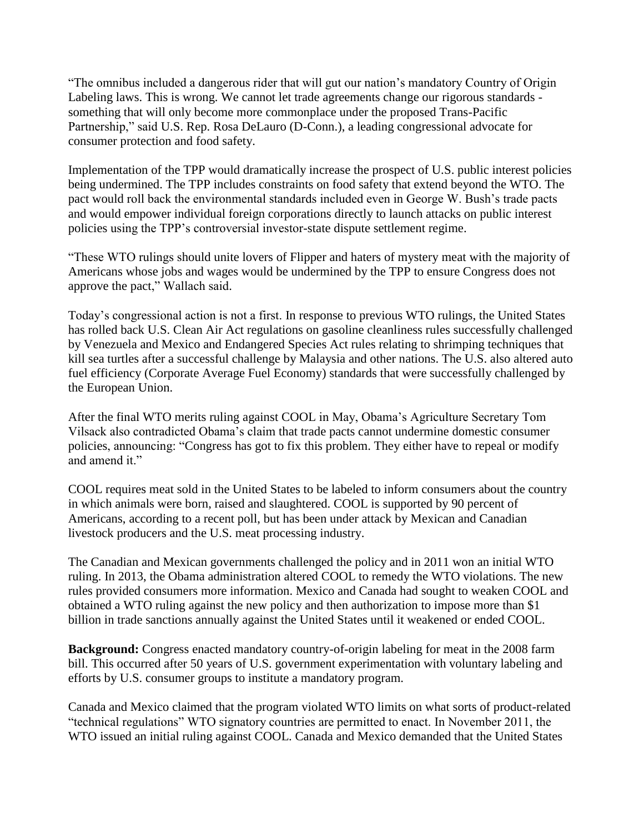"The omnibus included a dangerous rider that will gut our nation's mandatory Country of Origin Labeling laws. This is wrong. We cannot let trade agreements change our rigorous standards something that will only become more commonplace under the proposed Trans-Pacific Partnership," said U.S. Rep. Rosa DeLauro (D-Conn.), a leading congressional advocate for consumer protection and food safety.

Implementation of the TPP would dramatically increase the prospect of U.S. public interest policies being undermined. The TPP includes constraints on food safety that extend beyond the WTO. The pact would roll back the environmental standards included even in George W. Bush's trade pacts and would empower individual foreign corporations directly to launch attacks on public interest policies using the TPP's controversial investor-state dispute settlement regime.

"These WTO rulings should unite lovers of Flipper and haters of mystery meat with the majority of Americans whose jobs and wages would be undermined by the TPP to ensure Congress does not approve the pact," Wallach said.

Today's congressional action is not a first. In response to previous WTO rulings, the United States has rolled back U.S. Clean Air Act regulations on gasoline cleanliness rules successfully challenged by Venezuela and Mexico and Endangered Species Act rules relating to shrimping techniques that kill sea turtles after a successful challenge by Malaysia and other nations. The U.S. also altered auto fuel efficiency (Corporate Average Fuel Economy) standards that were successfully challenged by the European Union.

After the final WTO merits ruling against COOL in May, Obama's Agriculture Secretary Tom Vilsack also contradicted Obama's claim that trade pacts cannot undermine domestic consumer policies, announcing: "Congress has got to fix this problem. They either have to repeal or modify and amend it."

COOL requires meat sold in the United States to be labeled to inform consumers about the country in which animals were born, raised and slaughtered. COOL is supported by 90 percent of Americans, according to a recent poll, but has been under attack by Mexican and Canadian livestock producers and the U.S. meat processing industry.

The Canadian and Mexican governments challenged the policy and in 2011 won an initial WTO ruling. In 2013, the Obama administration altered COOL to remedy the WTO violations. The new rules provided consumers more information. Mexico and Canada had sought to weaken COOL and obtained a WTO ruling against the new policy and then authorization to impose more than \$1 billion in trade sanctions annually against the United States until it weakened or ended COOL.

**Background:** Congress enacted mandatory country-of-origin labeling for meat in the 2008 farm bill. This occurred after 50 years of U.S. government experimentation with voluntary labeling and efforts by U.S. consumer groups to institute a mandatory program.

Canada and Mexico claimed that the program violated WTO limits on what sorts of product-related "technical regulations" WTO signatory countries are permitted to enact. In November 2011, the WTO issued an initial ruling against COOL. Canada and Mexico demanded that the United States